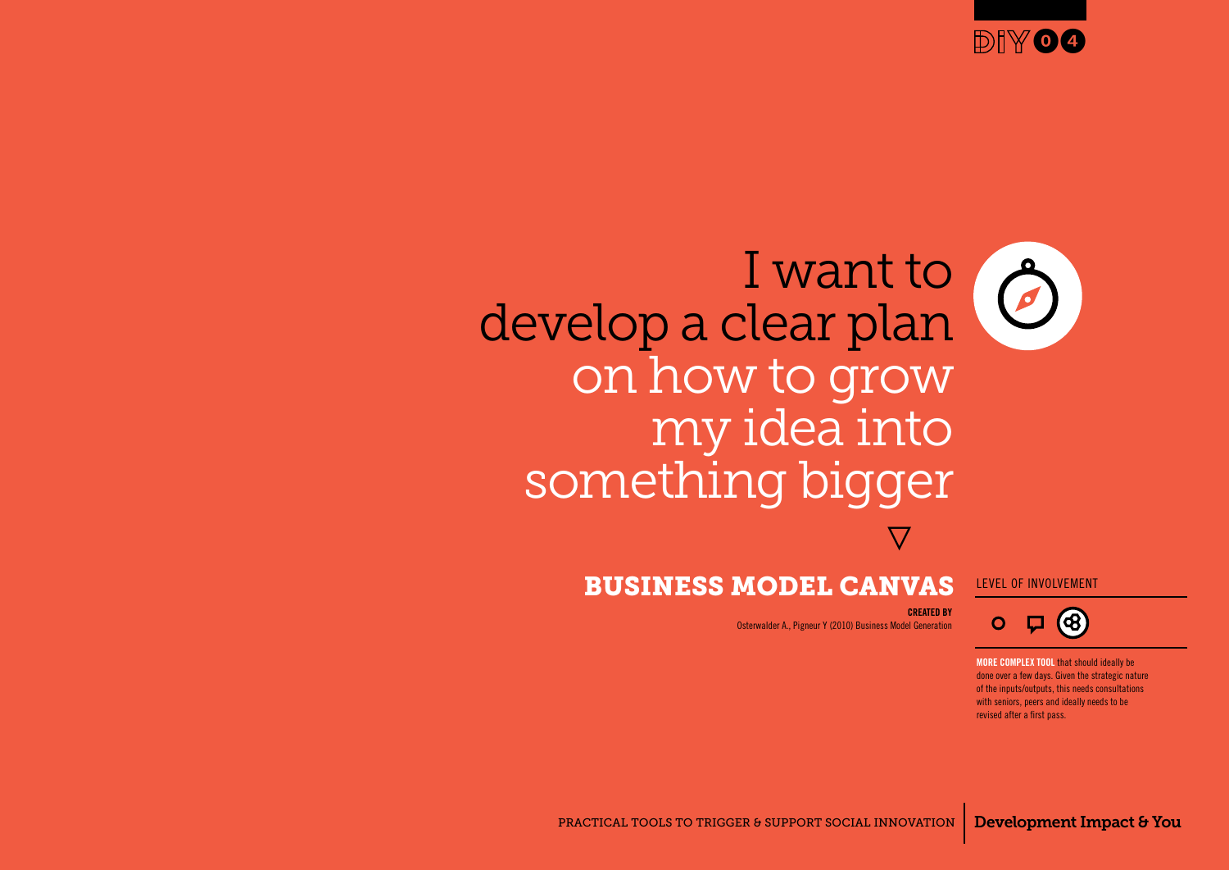

# I want to O develop a clear plan on how to grow my idea into something bigger **}**

### Business Model Canvas level of involvement

### **CREATED BY**

Osterwalder A., Pigneur Y (2010) Business Model Generation

**more complex tool** that should ideally be done over a few days. Given the strategic nature of the inputs/outputs, this needs consultations with seniors, peers and ideally needs to be revised after a first pass.

 $\boldsymbol{\nabla}$  (8)

 $\mathbf O$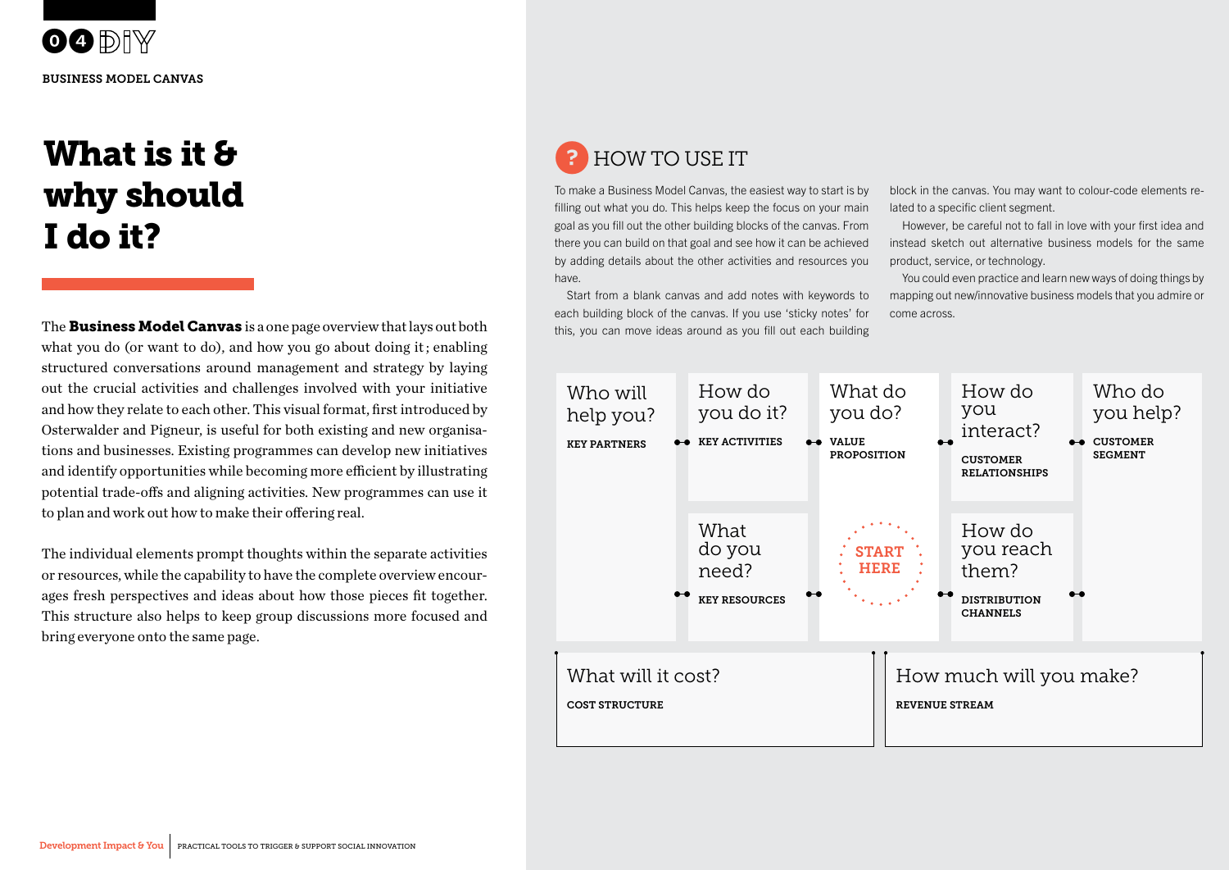**OODIY** Business Model Canvas

# What is it & why should I do it?

The **Business Model Canvas** is a one page overview that lays out both what you do (or want to do), and how you go about doing it; enabling structured conversations around management and strategy by laying out the crucial activities and challenges involved with your initiative and how they relate to each other. This visual format, first introduced by Osterwalder and Pigneur, is useful for both existing and new organisations and businesses. Existing programmes can develop new initiatives and identify opportunities while becoming more efficient by illustrating potential trade-offs and aligning activities. New programmes can use it to plan and work out how to make their offering real.

bring everyone onto the same page. The individual elements prompt thoughts within the separate activities or resources, while the capability to have the complete overview encourages fresh perspectives and ideas about how those pieces fit together. This structure also helps to keep group discussions more focused and

## ? How to use it

To make a Business Model Canvas, the easiest way to start is by filling out what you do. This helps keep the focus on your main goal as you fill out the other building blocks of the canvas. From there you can build on that goal and see how it can be achieved by adding details about the other activities and resources you have.

Start from a blank canvas and add notes with keywords to each building block of the canvas. If you use 'sticky notes' for this, you can move ideas around as you fill out each building

block in the canvas. You may want to colour-code elements related to a specific client segment.

However, be careful not to fall in love with your first idea and instead sketch out alternative business models for the same product, service, or technology.

You could even practice and learn new ways of doing things by mapping out new/innovative business models that you admire or come across.